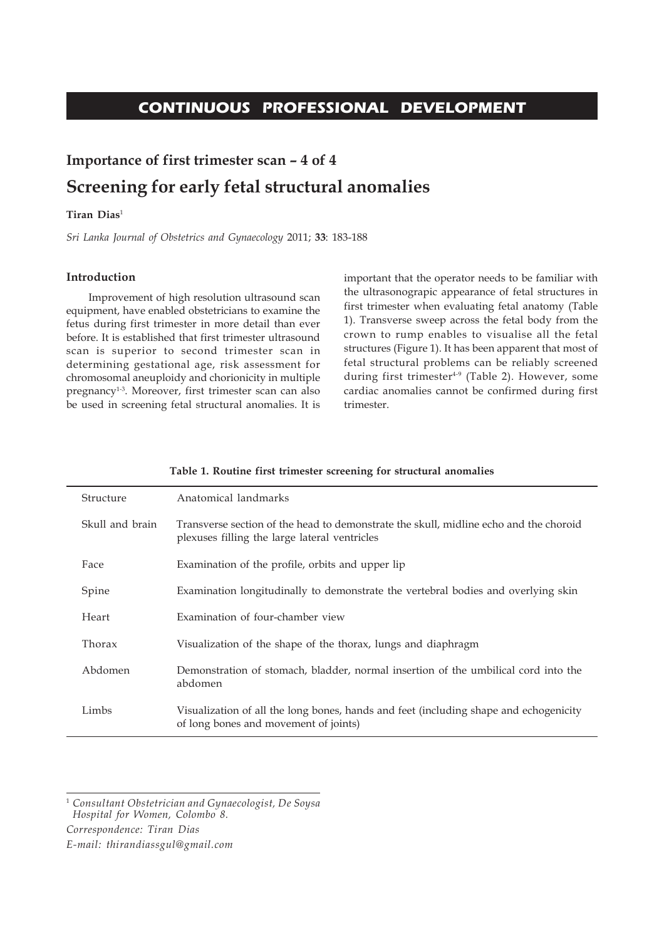# **CONTINUOUS PROFESSIONAL DEVELOPMENT**

# **Importance of first trimester scan – 4 of 4 Screening for early fetal structural anomalies**

# **Tiran Dias**<sup>1</sup>

*Sri Lanka Journal of Obstetrics and Gynaecology* 2011; **33**: 183-188

# **Introduction**

Improvement of high resolution ultrasound scan equipment, have enabled obstetricians to examine the fetus during first trimester in more detail than ever before. It is established that first trimester ultrasound scan is superior to second trimester scan in determining gestational age, risk assessment for chromosomal aneuploidy and chorionicity in multiple pregnancy<sup>1-3</sup>. Moreover, first trimester scan can also be used in screening fetal structural anomalies. It is

important that the operator needs to be familiar with the ultrasonograpic appearance of fetal structures in first trimester when evaluating fetal anatomy (Table 1). Transverse sweep across the fetal body from the crown to rump enables to visualise all the fetal structures (Figure 1). It has been apparent that most of fetal structural problems can be reliably screened during first trimester<sup>4-9</sup> (Table 2). However, some cardiac anomalies cannot be confirmed during first trimester.

| Structure       | Anatomical landmarks                                                                                                                   |
|-----------------|----------------------------------------------------------------------------------------------------------------------------------------|
| Skull and brain | Transverse section of the head to demonstrate the skull, midline echo and the choroid<br>plexuses filling the large lateral ventricles |
| Face            | Examination of the profile, orbits and upper lip                                                                                       |
| Spine           | Examination longitudinally to demonstrate the vertebral bodies and overlying skin                                                      |
| Heart           | Examination of four-chamber view                                                                                                       |
| Thorax          | Visualization of the shape of the thorax, lungs and diaphragm                                                                          |
| Abdomen         | Demonstration of stomach, bladder, normal insertion of the umbilical cord into the<br>abdomen                                          |
| Limbs           | Visualization of all the long bones, hands and feet (including shape and echogenicity<br>of long bones and movement of joints)         |

# **Table 1. Routine first trimester screening for structural anomalies**

<sup>1</sup> *Consultant Obstetrician and Gynaecologist, De Soysa Hospital for Women, Colombo 8.*

*Correspondence: Tiran Dias*

*E-mail: thirandiassgul@gmail.com*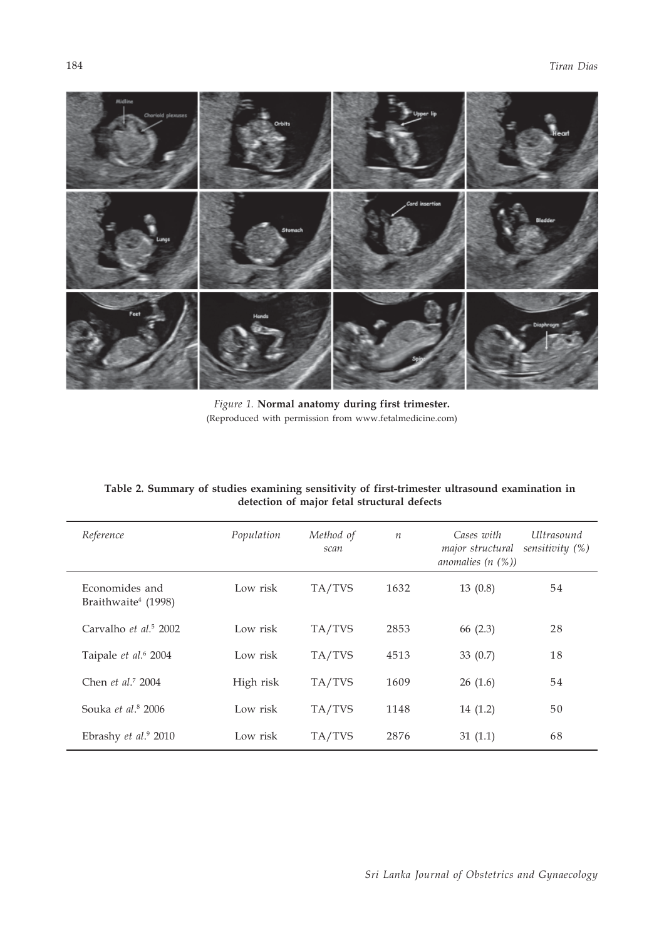

*Figure 1.* **Normal anatomy during first trimester.** (Reproduced with permission from www.fetalmedicine.com)

| Reference                                         | Population | Method of<br>scan | $\boldsymbol{n}$ | Cases with<br><i><u><b>Ultrasound</b></u></i><br>sensitivity $(\%)$<br>major structural<br>anomalies $(n \ (\%)$ |  |
|---------------------------------------------------|------------|-------------------|------------------|------------------------------------------------------------------------------------------------------------------|--|
| Economides and<br>Braithwaite <sup>4</sup> (1998) | Low risk   | TA/TVS            | 1632             | 13(0.8)<br>54                                                                                                    |  |
| Carvalho et al. <sup>5</sup> 2002                 | Low risk   | TA/TVS            | 2853             | 66 (2.3)<br>28                                                                                                   |  |
| Taipale et al. <sup>6</sup> 2004                  | Low risk   | TA/TVS            | 4513             | 18<br>33 $(0.7)$                                                                                                 |  |
| Chen et al. <sup>7</sup> 2004                     | High risk  | TA/TVS            | 1609             | 54<br>26(1.6)                                                                                                    |  |
| Souka et al. <sup>8</sup> 2006                    | Low risk   | TA/TVS            | 1148             | 50<br>14(1.2)                                                                                                    |  |
| Ebrashy et al. <sup>9</sup> 2010                  | Low risk   | TA/TVS            | 2876             | 68<br>31(1.1)                                                                                                    |  |

# **Table 2. Summary of studies examining sensitivity of first-trimester ultrasound examination in detection of major fetal structural defects**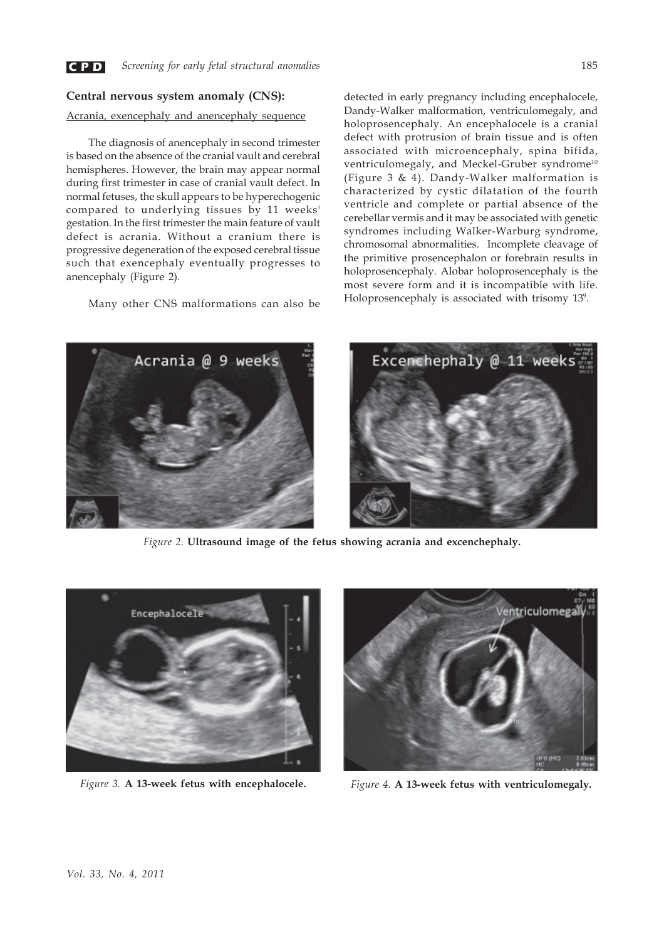

# **Central nervous system anomaly (CNS):**

# Acrania, exencephaly and anencephaly sequence

The diagnosis of anencephaly in second trimester is based on the absence of the cranial vault and cerebral hemispheres. However, the brain may appear normal during first trimester in case of cranial vault defect. In normal fetuses, the skull appears to be hyperechogenic compared to underlying tissues by 11 weeks' gestation. In the first trimester the main feature of vault defect is acrania. Without a cranium there is progressive degeneration of the exposed cerebral tissue such that exencephaly eventually progresses to anencephaly (Figure 2).

Many other CNS malformations can also be

detected in early pregnancy including encephalocele, Dandy-Walker malformation, ventriculomegaly, and holoprosencephaly. An encephalocele is a cranial defect with protrusion of brain tissue and is often associated with microencephaly, spina bifida, ventriculomegaly, and Meckel-Gruber syndrome<sup>10</sup> (Figure 3 & 4). Dandy-Walker malformation is characterized by cystic dilatation of the fourth ventricle and complete or partial absence of the cerebellar vermis and it may be associated with genetic syndromes including Walker-Warburg syndrome, chromosomal abnormalities. Incomplete cleavage of the primitive prosencephalon or forebrain results in holoprosencephaly. Alobar holoprosencephaly is the most severe form and it is incompatible with life. Holoprosencephaly is associated with trisomy 13<sup>9</sup>.



*Figure 2.* **Ultrasound image of the fetus showing acrania and excenchephaly.**





*Figure 3.* **A 13-week fetus with encephalocele.** *Figure 4.* **A 13-week fetus with ventriculomegaly.**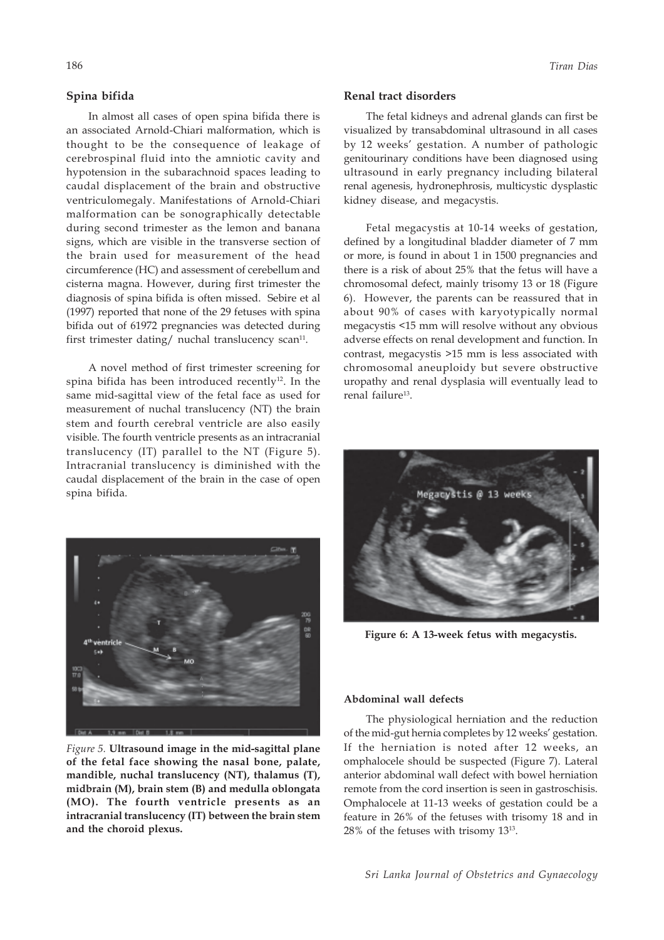# **Spina bifida**

In almost all cases of open spina bifida there is an associated Arnold-Chiari malformation, which is thought to be the consequence of leakage of cerebrospinal fluid into the amniotic cavity and hypotension in the subarachnoid spaces leading to caudal displacement of the brain and obstructive ventriculomegaly. Manifestations of Arnold-Chiari malformation can be sonographically detectable during second trimester as the lemon and banana signs, which are visible in the transverse section of the brain used for measurement of the head circumference (HC) and assessment of cerebellum and cisterna magna. However, during first trimester the diagnosis of spina bifida is often missed. Sebire et al (1997) reported that none of the 29 fetuses with spina bifida out of 61972 pregnancies was detected during first trimester dating/ nuchal translucency scan<sup>11</sup>.

A novel method of first trimester screening for spina bifida has been introduced recently<sup>12</sup>. In the same mid-sagittal view of the fetal face as used for measurement of nuchal translucency (NT) the brain stem and fourth cerebral ventricle are also easily visible. The fourth ventricle presents as an intracranial translucency (IT) parallel to the NT (Figure 5). Intracranial translucency is diminished with the caudal displacement of the brain in the case of open spina bifida.



*Figure 5.* **Ultrasound image in the mid-sagittal plane of the fetal face showing the nasal bone, palate, mandible, nuchal translucency (NT), thalamus (T), midbrain (M), brain stem (B) and medulla oblongata (MO). The fourth ventricle presents as an intracranial translucency (IT) between the brain stem and the choroid plexus.**

#### **Renal tract disorders**

The fetal kidneys and adrenal glands can first be visualized by transabdominal ultrasound in all cases by 12 weeks' gestation. A number of pathologic genitourinary conditions have been diagnosed using ultrasound in early pregnancy including bilateral renal agenesis, hydronephrosis, multicystic dysplastic kidney disease, and megacystis.

Fetal megacystis at 10-14 weeks of gestation, defined by a longitudinal bladder diameter of 7 mm or more, is found in about 1 in 1500 pregnancies and there is a risk of about 25% that the fetus will have a chromosomal defect, mainly trisomy 13 or 18 (Figure 6). However, the parents can be reassured that in about 90% of cases with karyotypically normal megacystis <15 mm will resolve without any obvious adverse effects on renal development and function. In contrast, megacystis >15 mm is less associated with chromosomal aneuploidy but severe obstructive uropathy and renal dysplasia will eventually lead to renal failure<sup>13</sup>.



**Figure 6: A 13-week fetus with megacystis.**

#### **Abdominal wall defects**

The physiological herniation and the reduction of the mid-gut hernia completes by 12 weeks' gestation. If the herniation is noted after 12 weeks, an omphalocele should be suspected (Figure 7). Lateral anterior abdominal wall defect with bowel herniation remote from the cord insertion is seen in gastroschisis. Omphalocele at 11-13 weeks of gestation could be a feature in 26% of the fetuses with trisomy 18 and in 28% of the fetuses with trisomy 1313.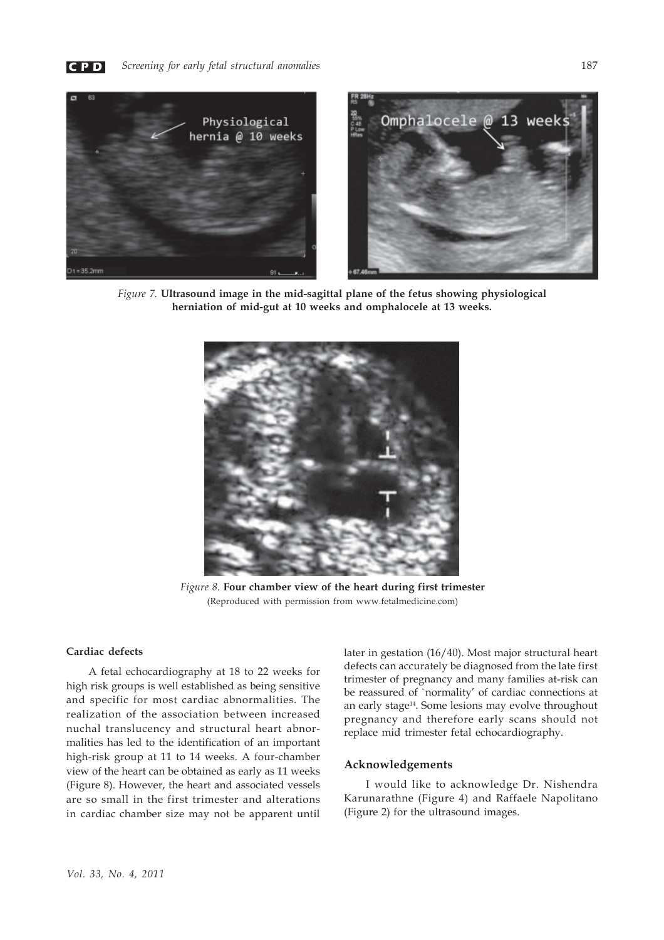



*Figure 7.* **Ultrasound image in the mid-sagittal plane of the fetus showing physiological herniation of mid-gut at 10 weeks and omphalocele at 13 weeks.**



*Figure 8.* **Four chamber view of the heart during first trimester** (Reproduced with permission from www.fetalmedicine.com)

# **Cardiac defects**

A fetal echocardiography at 18 to 22 weeks for high risk groups is well established as being sensitive and specific for most cardiac abnormalities. The realization of the association between increased nuchal translucency and structural heart abnormalities has led to the identification of an important high-risk group at 11 to 14 weeks. A four-chamber view of the heart can be obtained as early as 11 weeks (Figure 8). However, the heart and associated vessels are so small in the first trimester and alterations in cardiac chamber size may not be apparent until

later in gestation (16/40). Most major structural heart defects can accurately be diagnosed from the late first trimester of pregnancy and many families at-risk can be reassured of `normality' of cardiac connections at an early stage<sup>14</sup>. Some lesions may evolve throughout pregnancy and therefore early scans should not replace mid trimester fetal echocardiography.

# **Acknowledgements**

I would like to acknowledge Dr. Nishendra Karunarathne (Figure 4) and Raffaele Napolitano (Figure 2) for the ultrasound images.